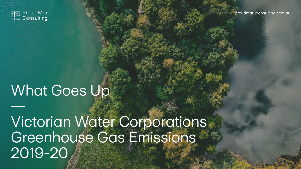

# What Goes Up —

Victorian Water Corporations Greenhouse Gas Emissions 2019-20

#### proudmaryconsulting.com.au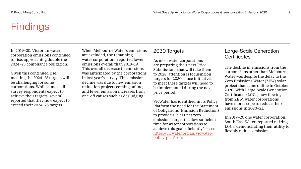In 2019–20, Victorian water corporation emissions continued to rise, approaching double the 2024–25 compliance obligation.

Given this continued rise, meeting the 2024–25 targets will be challenging for some corporations. While almost all survey respondents expect to achieve their targets, several reported that they now expect to exceed their 2024–25 targets.

### Findings

#### 2030 Targets

#### Large-Scale Generation **Certificates**

As most water corporations are preparing their next Price Submissions that will take them to 2028, attention is focusing on targets for 2030, since initiatives to meet these targets will need to be implemented during the next price period.

VicWater has identified in its Policy Platform the need for the Statement of Obligations (Emission Reduction) to provide a 'clear net zero emissions target to allow sufficient time for water corporations to achieve this goal efficiently' — see [https://vicwater.org.au/vicwater](https://vicwater.org.au/vicwater-policy-platform/)[policy-platform/.](https://vicwater.org.au/vicwater-policy-platform/)

The decline in emissions from the corporations other than Melbourne Water was despite the delay to the Zero Emissions Water (ZEW) solar project that came online in October 2020. With Large-Scale Generation Certificates (LGCs) now flowing from ZEW, water corporations have more scope to reduce their emissions in 2020–21.

In 2019–20 one water corporation, South East Water, reported retiring LGCs, demonstrating their utility to flexibly reduce emissions.

When Melbourne Water's emissions are excluded, the remaining water corporations reported lower emissions overall than 2018–19. This overall decrease in emissions was anticipated by the corporations in last year's survey. The emission decline was due to new emission reduction projects coming online, and fewer emission increases from one-off causes such as desludging.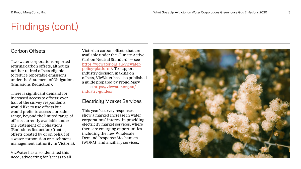#### Carbon Offsets

Two water corporations reported retiring carbon offsets, although neither retired offsets eligible to reduce reportable emissions under the Statement of Obligations (Emissions Reduction).

There is significant demand for increased access to offsets: over half of the survey respondents would like to use offsets but would prefer to access a broader range, beyond the limited range of offsets currently available under the Statement of Obligations (Emissions Reduction) (that is, offsets created by or on behalf of a water corporation or catchment management authority in Victoria).

VicWater has also identified this need, advocating for 'access to all

## Findings (cont.)

Victorian carbon offsets that are available under the Climate Active Carbon Neutral Standard' — see [https://vicwater.org.au/vicwater](https://vicwater.org.au/vicwater-policy-platform/)[policy-platform/.](https://vicwater.org.au/vicwater-policy-platform/) To support industry decision making on offsets, VicWater has also published a guide prepared by Proud Mary — see [https://vicwater.org.au/](https://vicwater.org.au/industry-guides/) [industry-guides/](https://vicwater.org.au/industry-guides/) .

### Electricity Market Services

This year's survey responses show a marked increase in water corporations' interest in providing electricity market services, where there are emerging opportunities including the new Wholesale Demand Response Mechanism (WDRM) and ancillary services.

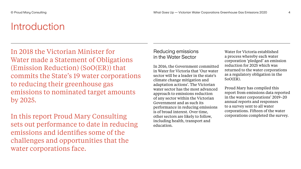In 2018 the Victorian Minister for Water made a Statement of Obligations (Emission Reduction) (SoO(ER)) that commits the State's 19 water corporations to reducing their greenhouse gas emissions to nominated target amounts by 2025.

In this report Proud Mary Consulting sets out performance to date in reducing emissions and identifies some of the challenges and opportunities that the water corporations face.

Reducing emissions in the Water Sector

In 2016, the Government committed in Water for Victoria that 'Our water sector will be a leader in the state's climate change mitigation and adaptation actions'. The Victorian water sector has the most advanced approach to emissions reduction of any sector within the Victorian Government and as such its performance in reducing emissions is of broad interest. Over time, other sectors are likely to follow, including health, transport and education.

Water for Victoria established a process whereby each water corporation 'pledged' an emission reduction for 2025 which was returned to the water corporations as a regulatory obligation in the SoO(ER).

Proud Mary has compiled this report from emissions data reported in the water corporations' 2019–20 annual reports and responses to a survey sent to all water corporations. Fifteen of the water corporations completed the survey.

### Introduction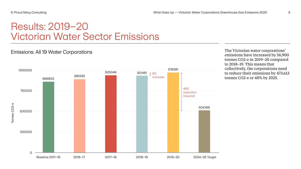### Results: 2019–20 Victorian Water Sector Emissions

emissions have increased by 56,900 tonnes CO2-e in 2019–20 compared to 2018–19. This means that collectively, the corporations need to reduce their emissions by 473,613 tonnes CO2-e or 48% by 2025.

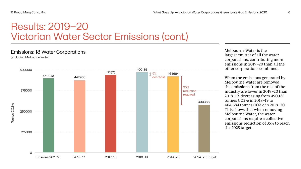Melbourne Water is the largest emitter of all the water corporations, contributing more emissions in 2019–20 than all the other corporations combined.

When the emissions generated by Melbourne Water are removed, the emissions from the rest of the industry are lower in 2019–20 than 2018–19, decreasing from 490,135 tonnes CO2-e in 2018–19 to 464,684 tonnes CO2-e in 2019–20. This shows that when removing Melbourne Water, the water corporations require a collective emissions reduction of 35% to reach the 2025 target.

### Results: 2019–20 Victorian Water Sector Emissions (cont.)

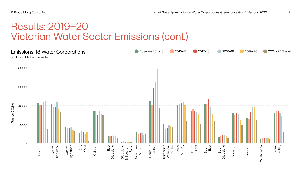### Results: 2019–20 Victorian Water Sector Emissions (cont.)

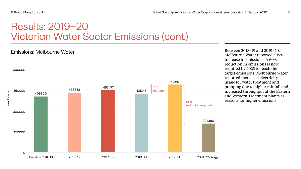Between 2018–19 and 2019–20, Melbourne Water reported a 19% increase in emissions. A 60% reduction in emissions is now required by 2025 to reach the target emissions. Melbourne Water reported increased electricity usage for water treatment and pumping due to higher rainfall and increased throughput at the Eastern and Western Treatment plants as reasons for higher emissions.



### Results: 2019–20 Victorian Water Sector Emissions (cont.)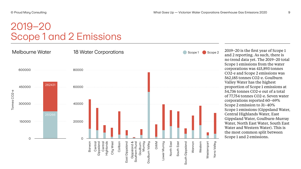### 2019–20 Scope 1 and 2 Emissions

2019–20 is the first year of Scope 1 and 2 reporting. As such, there is no trend data yet. The 2019–20 total Scope 1 emissions from the water corporations was 415,893 tonnes CO2-e and Scope 2 emissions was 562,185 tonnes CO2-e. Goulburn Valley Water has the highest proportion of Scope 1 emissions at 54,736 tonnes CO2-e out of a total of 77,754 tonnes CO2-e. Seven water corporations reported 60–69% Scope 2 emission to 31–40% Scope 1 emissions (Gippsland Water, Central Highlands Water, East Gippsland Water, Goulburn-Murray Water, North East Water, South East Water and Western Water). This is the most common split between Scope 1 and 2 emissions.

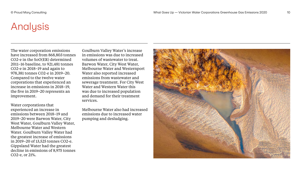The water corporation emissions have increased from 868,803 tonnes CO2-e in the SoO(ER) determined 2011–16 baseline, to 921,481 tonnes CO2-e in 2018–19 and again to 978,381 tonnes CO2-e in 2019–20. Compared to the twelve water corporations that experienced an increase in emissions in 2018–19, the five in 2019–20 represents an improvement.

Water corporations that experienced an increase in emissions between 2018–19 and 2019–20 were Barwon Water, City West Water, Goulburn Valley Water, Melbourne Water and Western Water. Goulburn Valley Water had the greatest increase of emissions in 2019–20 of 13,525 tonnes CO2-e. Gippsland Water had the greatest decline in emissions of 8,975 tonnes CO2-e, or 21%.

### Analysis

Goulburn Valley Water's increase in emissions was due to increased volumes of wastewater to treat. Barwon Water, City West Water, Melbourne Water and Westernport Water also reported increased emissions from wastewater and sewerage treatment. For City West Water and Western Water this was due to increased population and demand for their treatment services.

Melbourne Water also had increased emissions due to increased water pumping and desludging.

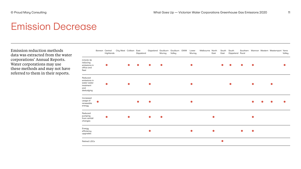### Emission Decrease

Emission reduction methods data was extracted from the water corporations' Annual Reports. Water corporations may use these methods and may not have referred to them in their reports.



|                                                                          | Barwon Central<br>Highlands | City West Coliban East | Gippsland | Gippsland Goulburn- Goulburn GWM<br>Murray | Valley | Lower<br>Murray | Melbourne North | East | South<br>East |
|--------------------------------------------------------------------------|-----------------------------|------------------------|-----------|--------------------------------------------|--------|-----------------|-----------------|------|---------------|
| COVID-19<br>reducing<br>emissions in<br>office and<br>fleet              |                             |                        |           |                                            |        |                 |                 |      |               |
| Reduced<br>emissions in<br>water-water<br>treatment<br>and<br>desludging |                             |                        |           |                                            |        |                 |                 |      |               |
| Increased<br>usage of<br>renewable<br>energy                             |                             |                        |           |                                            |        |                 |                 |      |               |
| Reduced<br>pumping<br>from rainfall<br>changes                           |                             |                        |           |                                            |        |                 |                 |      |               |
| Energy<br>efficiency<br>upgrades                                         |                             |                        |           |                                            |        |                 |                 |      |               |
| <b>Retired LGCs</b>                                                      |                             |                        |           |                                            |        |                 |                 |      |               |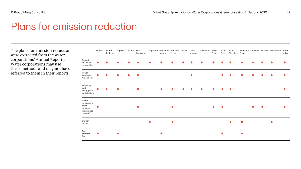### Plans for emission reduction

The plans for emission reduction were extracted from the water corporations' Annual Reports. Water corporations may use these methods and may not have referred to them in their reports.



|                                                                      | Barwon Central<br>Highlands | City West Coliban East | Gippsland | Gippsland Goulburn- Goulburn GWM<br>Murray | Valley | Lower<br>Murray | Melbourne North | East | South<br>East |
|----------------------------------------------------------------------|-----------------------------|------------------------|-----------|--------------------------------------------|--------|-----------------|-----------------|------|---------------|
| Behind<br>the meter<br>renewables                                    |                             |                        |           |                                            |        |                 |                 |      |               |
| Power<br>Purchase<br>Agreements                                      |                             |                        |           |                                            |        |                 |                 |      |               |
| Efficiency<br>and<br>energy use<br>optimisation                      |                             |                        |           |                                            |        |                 |                 |      |               |
| Water<br>reclamation<br>plant<br>process<br>(e.g. biogas<br>capture) |                             |                        |           |                                            |        |                 |                 |      |               |
| Carbon<br>offsets                                                    |                             |                        |           |                                            |        |                 |                 |      |               |
| Fuel<br>efficient<br>fleet                                           |                             |                        |           |                                            |        |                 |                 |      |               |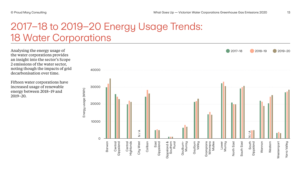### 2017–18 to 2019–20 Energy Usage Trends: 18 Water Corporations

Analysing the energy usage of the water corporations provides an insight into the sector's Scope 2 emissions of the water sector, noting though the impacts of grid decarbonisation over time.

Fifteen water corporations have increased usage of renewable energy between 2018–19 and 2019–20.

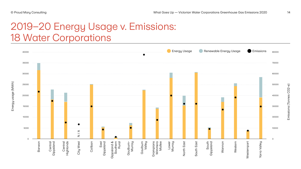### 2019–20 Energy Usage v. Emissions: 18 Water Corporations

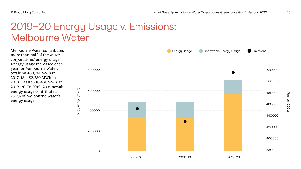### 2019–20 Energy Usage v. Emissions: Melbourne Water

Melbourne Water contributes more than half of the water corporations' energy usage. Energy usage increased each year for Melbourne Water, totalling 480,741 MWh in 2017–18, 482,280 MWh in 2018–19 and 710,431 MWh. in 2019–20. In 2019–20 renewable energy usage contributed 25.9% of Melbourne Water's energy usage.

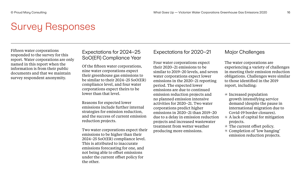### Survey Responses

Fifteen water corporations responded to the survey for this report. Water corporations are only named in this report when the information is from their public documents and that we maintain survey respondent anonymity.

Expectations for 2024–25 SoO(ER) Compliance Year

Of the fifteen water corporations, nine water corporations expect their greenhouse gas emissions to be similar to their 2024–25 SoO(ER) compliance level, and four water corporations expect theirs to be lower than that level.

Reasons for expected lower emissions include further internal strategies for emission reduction, and the success of current emission reduction projects.

Two water corporations expect their emissions to be higher than their 2024–25 SoO(ER) compliance level. This is attributed to inaccurate emissions forecasting for one, and not being able to offset emissions under the current offset policy for the other.

- $*$  Increased population growth intensifying service demand (despite the pause in international migration due to Covid-19 border closures).
- $*$  A lack of capital for mitigation projects.
- $*$  The current offset policy.
- $*$  Completion of 'low hanging' emission reduction projects.

#### Expectations for 2020–21

Four water corporations expect their 2020–21 emissions to be similar to 2019–20 levels, and seven water corporations expect lower emissions in the 2020–21 reporting period. The expected lower emissions are due to continued emission reduction projects and no planned emission intensive activities for 2020–21. Two water corporations predict higher emissions in 2020–21 than 2019–20 due to a delay in emission reduction projects and increased wastewater treatment from wetter weather producing more emissions.

### Major Challenges

The water corporations are experiencing a variety of challenges in meeting their emission reduction obligations. Challenges were similar to those identified in the 2019 report, including: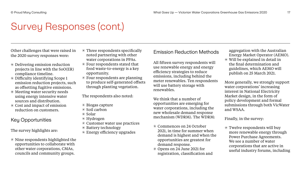## Survey Responses (cont.)

Other challenges that were raised in the 2020 survey responses were:

- $*$  Delivering emission reduction projects in line with the SoO(ER) compliance timeline.
- $*$  Difficulty identifying Scope 1 emission reduction projects, such as offsetting fugitive emissions.
- $*$  Meeting water security needs using energy intensive water sources and distribution.
- $*$  Cost and impact of emission reduction on customers.

 $*$  Nine respondents highlighted the opportunities to collaborate with other water corporations, CMAs, councils and community groups.

- $*$  Three respondents specifically noted partnering with other water corporations in PPAs.
- $*$  Four respondents stated that food waste-to-energy is a key opportunity.
- $*$  Four respondents are planning to produce self-generated offsets through planting vegetation.

### Key Opportunities

The survey highlights are:

- $*$  Commences on 24 October 2021, in time for summer when demand is highest and when the opportunities are greatest for demand response.
- $*$  Opens on 24 June 2021 for registration, classification and

The respondents also noted:

- $*$  Biogas capture
- $*$  Soil carbon
- $*$  Solar
- $*$  Hydrogen
- $*$  Customer water use practices
- $*$  Battery technology
- $*$  Energy efficiency upgrades

#### Emission Reduction Methods

 $*$  Twelve respondents will buy more renewable energy through Power Purchase Agreements. We see a number of water corporations that are active in useful industry forums, including

All fifteen survey respondents will use renewable energy and energy efficiency strategies to reduce emissions, including behind the meter renewables. Ten respondents will use battery storage with renewables.

We think that a number of opportunities are emerging for water corporations, including the new wholesale demand response mechanism (WDRM). The WDRM:

aggregation with the Australian Energy Market Operator (AEMO).  $*$  Will be explained in detail in the final determination and guidelines, which AEMO will publish on 25 March 2021.

More generally, we strongly support water corporations' increasing interest in National Electricity Market design, in the form of policy development and formal submissions through both VicWater and WSAA.

Finally, in the survey: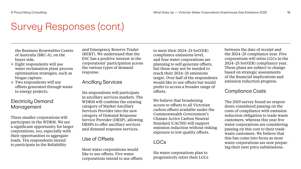## Survey Responses (cont.)

the Business Renewables Centre of Australia (BRC-A), on the buyer side.

- $*$  Eight respondents will use water reclamation plant process optimisation strategies, such as biogas capture.
- $*$  Two respondents will use offsets generated through waste to energy projects.

#### Electricity Demand Management

Three smaller corporations will participate in the WDRM. We see a significant opportunity for larger corporations, too, especially with their opportunities to aggregate loads. Ten respondents intend to participate in the Reliability

and Emergency Reserve Trader (RERT). We understand that the ESC has a positive interest in the corporations' participation across the various types of demand response.

#### Ancillary Services

Six respondents will participate in ancillary services markets. The WDRM will combine the existing category of Market Ancillary Services Provider into the new category of Demand Response Service Provider (DRSP), allowing DRSPs to offer ancillary services and demand response services.

#### Use of Offsets

Most water corporations would like to use offsets. Five water corporations intend to use offsets to meet their 2024–25 SoO(ER) compliance emissions level, and four water corporations are planning to self-generate offsets, but these may not be needed to reach their 2024–25 emissions target. Over half of the respondents would like to use offsets but would prefer to access a broader range of offsets.

We believe that broadening access to offsets to all Victorian carbon offsets available under the Commonwealth Government's Climate Active Carbon Neutral Standard (CACNS) will support emission reduction without risking exposure to low quality offsets.

### LGCs

Six water corporations plan to progressively retire their LGCs between the date of receipt and the 2024–25 compliance year. Five corporations will retire LGCs in the 2024–25 SoO(ER) compliance year. These plans are subject to change based on strategic assessments of the financial implications and emission reduction progress.

#### Compliance Costs

The 2019 survey found no respondents considered passing on the costs of compliance with emission reduction obligation to trade waste customers, whereas this year five water corporations are considering passing on this cost to their trade waste customers. We believe that this has come into focus as most water corporations are now preparing their next price submissions.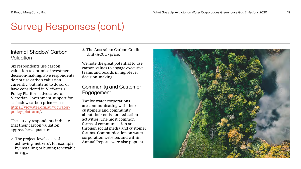## Survey Responses (cont.)

#### Internal 'Shadow' Carbon Valuation

Six respondents use carbon valuation to optimise investment decision-making. Five respondents do not use carbon valuation currently, but intend to do so, or have considered it. VicWater's Policy Platform advocates for Victorian Government support for a shadow carbon price — see [https://vicwater.org.au/vicwater](https://vicwater.org.au/vicwater-policy-platform/)[policy-platform/.](https://vicwater.org.au/vicwater-policy-platform/)

 $*$  The project-level costs of achieving 'net zero', for example, by installing or buying renewable energy.

 $*$  The Australian Carbon Credit Unit (ACCU) price.

The survey respondents indicate that their carbon valuation approaches equate to:

We note the great potential to use carbon values to engage executive teams and boards in high-level decision-making.

#### Community and Customer Engagement

Twelve water corporations are communicating with their customers and community about their emission reduction activities. The most common forms of communication are through social media and customer forums. Communication on water corporation websites and within Annual Reports were also popular.

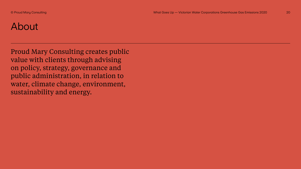### About

Proud Mary Consulting creates public value with clients through advising on policy, strategy, governance and public administration, in relation to water, climate change, environment, sustainability and energy.